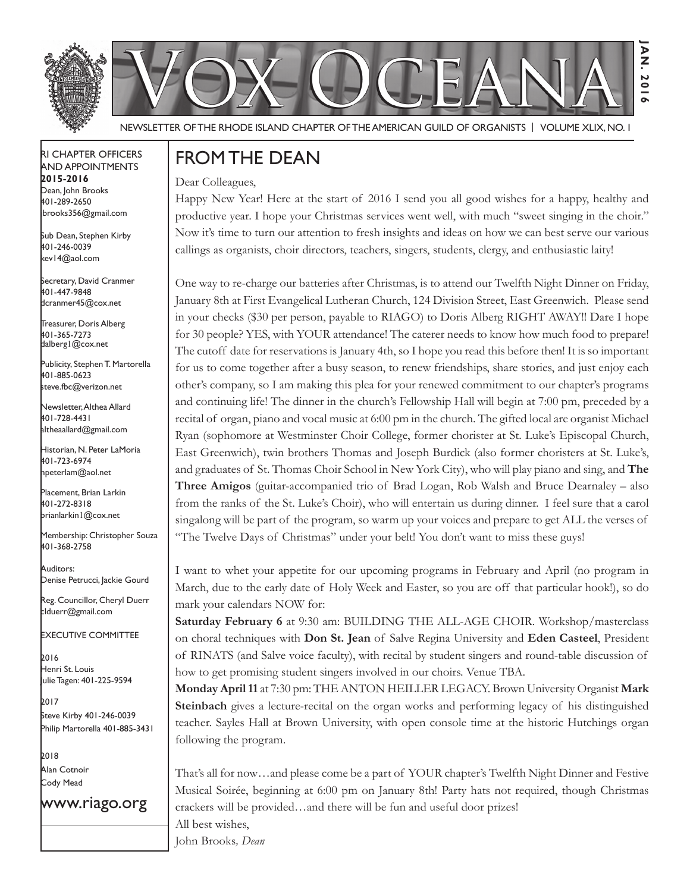



Newsletter of the Rhode Island Chapter of the American Guild of OrganistS | Volume XLIX, No. 1

#### RI Chapter Officers and Appointments **2015-2016** Dean, John Brooks 401-289-2650 jbrooks356@gmail.com

Sub Dean, Stephen Kirby 401-246-0039 kev14@aol.com

Secretary, David Cranmer 401-447-9848 dcranmer45@cox.net

Treasurer, Doris Alberg 401-365-7273 dalberg1@cox.net

I Publicity, Stephen T. Martorella 401-885-0623 steve.fbc@verizon.net

Newsletter, Althea Allard 401-728-4431 altheaallard@gmail.com

Historian, N. Peter LaMoria 401-723-6974 npeterlam@aol.net

Placement, Brian Larkin 401-272-8318 brianlarkin1@cox.net

Membership: Christopher Souza 401-368-2758

Auditors: Denise Petrucci, Jackie Gourd

Reg. Councillor, Cheryl Duerr clduerr@gmail.com

Executive Committee

2016 Henri St. Louis Julie Tagen: 401-225-9594

2017 Steve Kirby 401-246-0039 Philip Martorella 401-885-3431

2018 Alan Cotnoir Cody Mead

www.riago.org

### From the Dean

Dear Colleagues,

Happy New Year! Here at the start of 2016 I send you all good wishes for a happy, healthy and productive year. I hope your Christmas services went well, with much "sweet singing in the choir." Now it's time to turn our attention to fresh insights and ideas on how we can best serve our various callings as organists, choir directors, teachers, singers, students, clergy, and enthusiastic laity!

**Jan. 2016**

**201**  $\sim$ 

 $\overline{P}$ 

One way to re-charge our batteries after Christmas, is to attend our Twelfth Night Dinner on Friday, January 8th at First Evangelical Lutheran Church, 124 Division Street, East Greenwich. Please send in your checks (\$30 per person, payable to RIAGO) to Doris Alberg RIGHT AWAY!! Dare I hope for 30 people? YES, with YOUR attendance! The caterer needs to know how much food to prepare! The cutoff date for reservations is January 4th, so I hope you read this before then! It is so important for us to come together after a busy season, to renew friendships, share stories, and just enjoy each other's company, so I am making this plea for your renewed commitment to our chapter's programs and continuing life! The dinner in the church's Fellowship Hall will begin at 7:00 pm, preceded by a recital of organ, piano and vocal music at 6:00 pm in the church. The gifted local are organist Michael Ryan (sophomore at Westminster Choir College, former chorister at St. Luke's Episcopal Church, East Greenwich), twin brothers Thomas and Joseph Burdick (also former choristers at St. Luke's, and graduates of St. Thomas Choir School in New York City), who will play piano and sing, and **The Three Amigos** (guitar-accompanied trio of Brad Logan, Rob Walsh and Bruce Dearnaley – also from the ranks of the St. Luke's Choir), who will entertain us during dinner. I feel sure that a carol singalong will be part of the program, so warm up your voices and prepare to get ALL the verses of "The Twelve Days of Christmas" under your belt! You don't want to miss these guys!

I want to whet your appetite for our upcoming programs in February and April (no program in March, due to the early date of Holy Week and Easter, so you are off that particular hook!), so do mark your calendars NOW for:

**Saturday February 6** at 9:30 am: BUILDING THE ALL-AGE CHOIR. Workshop/masterclass on choral techniques with **Don St. Jean** of Salve Regina University and **Eden Casteel**, President of RINATS (and Salve voice faculty), with recital by student singers and round-table discussion of how to get promising student singers involved in our choirs. Venue TBA.

**Monday April 11** at 7:30 pm: THE ANTON HEILLER LEGACY. Brown University Organist **Mark Steinbach** gives a lecture-recital on the organ works and performing legacy of his distinguished teacher. Sayles Hall at Brown University, with open console time at the historic Hutchings organ following the program.

That's all for now…and please come be a part of YOUR chapter's Twelfth Night Dinner and Festive Musical Soirée, beginning at 6:00 pm on January 8th! Party hats not required, though Christmas crackers will be provided…and there will be fun and useful door prizes! All best wishes, John Brooks*, Dean*